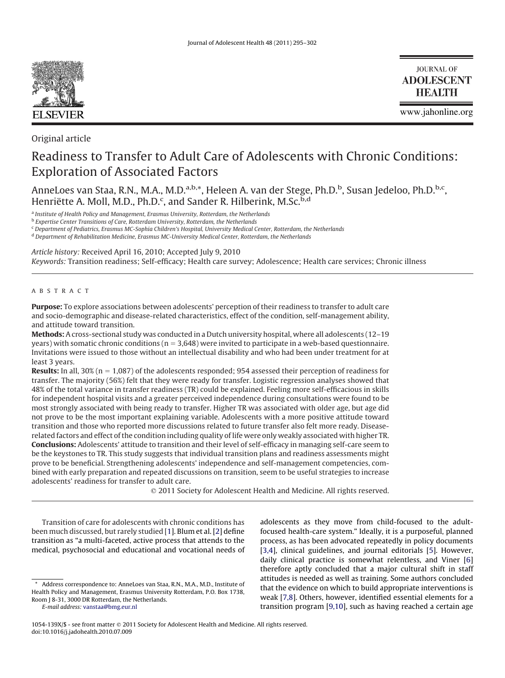

Original article

**JOURNAL OF ADOLESCENT HEALTH** 

www.jahonline.org

# Readiness to Transfer to Adult Care of Adolescents with Chronic Conditions: Exploration of Associated Factors

AnneLoes van Staa, R.N., M.A., M.D.<sup>a,b,\*</sup>, Heleen A. van der Stege, Ph.D.<sup>b</sup>, Susan Jedeloo, Ph.D.<sup>b.c</sup>, Henriëtte A. Moll, M.D., Ph.D.<sup>c</sup>, and Sander R. Hilberink, M.Sc.<sup>b,d</sup>

<sup>a</sup> *Institute of Health Policy and Management, Erasmus University, Rotterdam, the Netherlands*

<sup>b</sup> *Expertise Center Transitions of Care, Rotterdam University, Rotterdam, the Netherlands*

<sup>c</sup> *Department of Pediatrics, Erasmus MC-Sophia Children's Hospital, University Medical Center, Rotterdam, the Netherlands*

<sup>d</sup> *Department of Rehabilitation Medicine, Erasmus MC-University Medical Center, Rotterdam, the Netherlands*

*Article history:* Received April 16, 2010; Accepted July 9, 2010 *Keywords:* Transition readiness; Self-efficacy; Health care survey; Adolescence; Health care services; Chronic illness

## ABSTRACT

**Purpose:** To explore associations between adolescents' perception of their readiness to transfer to adult care and socio-demographic and disease-related characteristics, effect of the condition, self-management ability, and attitude toward transition.

**Methods:** A cross-sectional study was conducted in a Dutch university hospital, where all adolescents (12–19 years) with somatic chronic conditions ( $n = 3,648$ ) were invited to participate in a web-based questionnaire. Invitations were issued to those without an intellectual disability and who had been under treatment for at least 3 years.

**Results:** In all, 30% (n = 1,087) of the adolescents responded; 954 assessed their perception of readiness for transfer. The majority (56%) felt that they were ready for transfer. Logistic regression analyses showed that 48% of the total variance in transfer readiness (TR) could be explained. Feeling more self-efficacious in skills for independent hospital visits and a greater perceived independence during consultations were found to be most strongly associated with being ready to transfer. Higher TR was associated with older age, but age did not prove to be the most important explaining variable. Adolescents with a more positive attitude toward transition and those who reported more discussions related to future transfer also felt more ready. Diseaserelated factors and effect of the condition including quality of life were only weakly associated with higher TR. **Conclusions:** Adolescents' attitude to transition and their level of self-efficacy in managing self-care seem to be the keystones to TR. This study suggests that individual transition plans and readiness assessments might prove to be beneficial. Strengthening adolescents' independence and self-management competencies, combined with early preparation and repeated discussions on transition, seem to be useful strategies to increase adolescents' readiness for transfer to adult care.

2011 Society for Adolescent Health and Medicine. All rights reserved.

Transition of care for adolescents with chronic conditions has been much discussed, but rarely studied [\[1\]](#page-7-0). Blum et al. [\[2\]](#page-7-0) define transition as "a multi-faceted, active process that attends to the medical, psychosocial and educational and vocational needs of adolescents as they move from child-focused to the adultfocused health-care system." Ideally, it is a purposeful, planned process, as has been advocated repeatedly in policy documents [\[3,4\]](#page-7-0), clinical guidelines, and journal editorials [\[5\]](#page-7-0). However, daily clinical practice is somewhat relentless, and Viner [\[6\]](#page-7-0) therefore aptly concluded that a major cultural shift in staff attitudes is needed as well as training. Some authors concluded that the evidence on which to build appropriate interventions is weak [\[7,8\]](#page-7-0). Others, however, identified essential elements for a transition program [\[9,10\]](#page-7-0), such as having reached a certain age

Address correspondence to: AnneLoes van Staa, R.N., M.A., M.D., Institute of Health Policy and Management, Erasmus University Rotterdam, P.O. Box 1738, Room J 8-31, 3000 DR Rotterdam, the Netherlands.

*E-mail address:* [vanstaa@bmg.eur.nl](mailto:vanstaa@bmg.eur.nl)

<sup>1054-139</sup>X/\$ - see front matter © 2011 Society for Adolescent Health and Medicine. All rights reserved. doi:10.1016/j.jadohealth.2010.07.009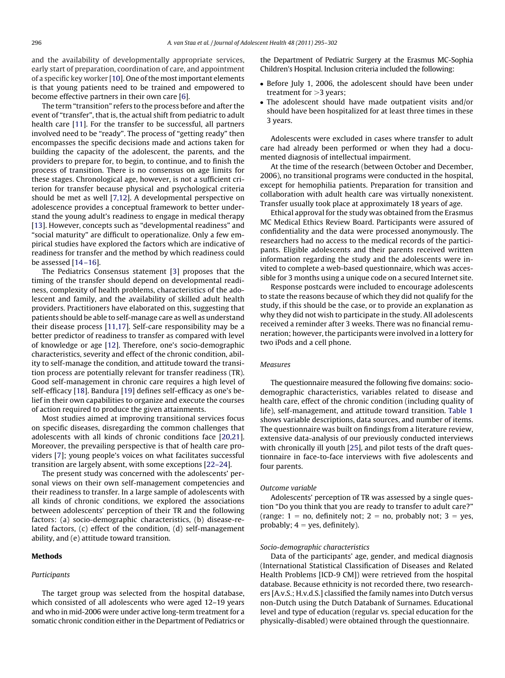and the availability of developmentally appropriate services, early start of preparation, coordination of care, and appointment of a specific key worker [\[10\]](#page-7-0). One of the most important elements is that young patients need to be trained and empowered to become effective partners in their own care [\[6\]](#page-7-0).

The term "transition" refers to the process before and after the event of "transfer", that is, the actual shift from pediatric to adult health care [\[11\]](#page-7-0). For the transfer to be successful, all partners involved need to be "ready". The process of "getting ready" then encompasses the specific decisions made and actions taken for building the capacity of the adolescent, the parents, and the providers to prepare for, to begin, to continue, and to finish the process of transition. There is no consensus on age limits for these stages. Chronological age, however, is not a sufficient criterion for transfer because physical and psychological criteria should be met as well [\[7,12\]](#page-7-0). A developmental perspective on adolescence provides a conceptual framework to better understand the young adult's readiness to engage in medical therapy [\[13\]](#page-7-0). However, concepts such as "developmental readiness" and "social maturity" are difficult to operationalize. Only a few empirical studies have explored the factors which are indicative of readiness for transfer and the method by which readiness could be assessed  $[14-16]$ .

The Pediatrics Consensus statement [\[3\]](#page-7-0) proposes that the timing of the transfer should depend on developmental readiness, complexity of health problems, characteristics of the adolescent and family, and the availability of skilled adult health providers. Practitioners have elaborated on this, suggesting that patients should be able to self-manage care as well as understand their disease process [\[11,17\]](#page-7-0). Self-care responsibility may be a better predictor of readiness to transfer as compared with level of knowledge or age [\[12\]](#page-7-0). Therefore, one's socio-demographic characteristics, severity and effect of the chronic condition, ability to self-manage the condition, and attitude toward the transition process are potentially relevant for transfer readiness (TR). Good self-management in chronic care requires a high level of self-efficacy [\[18\]](#page-7-0). Bandura [\[19\]](#page-7-0) defines self-efficacy as one's belief in their own capabilities to organize and execute the courses of action required to produce the given attainments.

Most studies aimed at improving transitional services focus on specific diseases, disregarding the common challenges that adolescents with all kinds of chronic conditions face [\[20,21\]](#page-7-0). Moreover, the prevailing perspective is that of health care providers [\[7\]](#page-7-0); young people's voices on what facilitates successful transition are largely absent, with some exceptions [\[22–24\]](#page-7-0).

The present study was concerned with the adolescents' personal views on their own self-management competencies and their readiness to transfer. In a large sample of adolescents with all kinds of chronic conditions, we explored the associations between adolescents' perception of their TR and the following factors: (a) socio-demographic characteristics, (b) disease-related factors, (c) effect of the condition, (d) self-management ability, and (e) attitude toward transition.

# **Methods**

#### *Participants*

The target group was selected from the hospital database, which consisted of all adolescents who were aged 12–19 years and who in mid-2006 were under active long-term treatment for a somatic chronic condition either in the Department of Pediatrics or

the Department of Pediatric Surgery at the Erasmus MC-Sophia Children's Hospital. Inclusion criteria included the following:

- Before July 1, 2006, the adolescent should have been under treatment for  $>$ 3 years;
- The adolescent should have made outpatient visits and/or should have been hospitalized for at least three times in these 3 years.

Adolescents were excluded in cases where transfer to adult care had already been performed or when they had a documented diagnosis of intellectual impairment.

At the time of the research (between October and December, 2006), no transitional programs were conducted in the hospital, except for hemophilia patients. Preparation for transition and collaboration with adult health care was virtually nonexistent. Transfer usually took place at approximately 18 years of age.

Ethical approval for the study was obtained from the Erasmus MC Medical Ethics Review Board. Participants were assured of confidentiality and the data were processed anonymously. The researchers had no access to the medical records of the participants. Eligible adolescents and their parents received written information regarding the study and the adolescents were invited to complete a web-based questionnaire, which was accessible for 3 months using a unique code on a secured Internet site.

Response postcards were included to encourage adolescents to state the reasons because of which they did not qualify for the study, if this should be the case, or to provide an explanation as why they did not wish to participate in the study. All adolescents received a reminder after 3 weeks. There was no financial remuneration; however, the participants were involved in a lottery for two iPods and a cell phone.

# *Measures*

The questionnaire measured the following five domains: sociodemographic characteristics, variables related to disease and health care, effect of the chronic condition (including quality of life), self-management, and attitude toward transition. [Table 1](#page-2-0) shows variable descriptions, data sources, and number of items. The questionnaire was built on findings from a literature review, extensive data-analysis of our previously conducted interviews with chronically ill youth [\[25\]](#page-7-0), and pilot tests of the draft questionnaire in face-to-face interviews with five adolescents and four parents.

#### *Outcome variable*

Adolescents' perception of TR was assessed by a single question "Do you think that you are ready to transfer to adult care?" (range:  $1 = no$ , definitely not;  $2 = no$ , probably not;  $3 = yes$ , probably;  $4 =$  yes, definitely).

## *Socio-demographic characteristics*

Data of the participants' age, gender, and medical diagnosis (International Statistical Classification of Diseases and Related Health Problems [ICD-9 CM]) were retrieved from the hospital database. Because ethnicity is not recorded there, two researchers [A.v.S.; H.v.d.S.] classified the family names into Dutch versus non-Dutch using the Dutch Databank of Surnames. Educational level and type of education (regular vs. special education for the physically-disabled) were obtained through the questionnaire.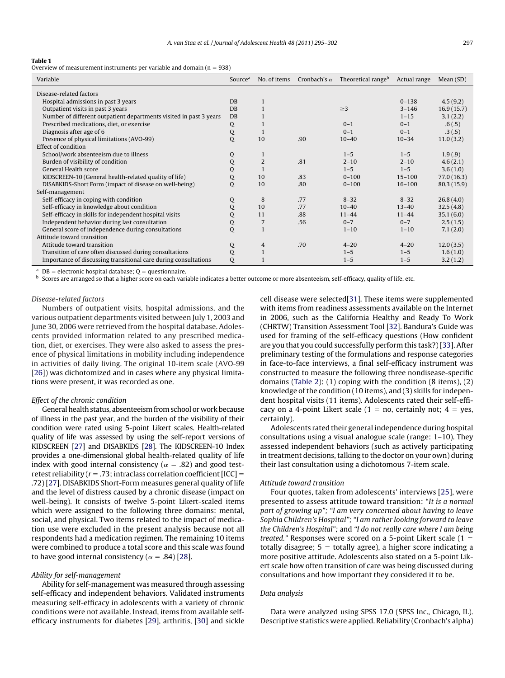<span id="page-2-0"></span>Overview of measurement instruments per variable and domain ( $n = 938$ )

| Variable                                                           | Source <sup>a</sup> | No. of items   | Cronbach's $\alpha$ | Theoretical range <sup>b</sup> | Actual range | Mean $(SD)$ |
|--------------------------------------------------------------------|---------------------|----------------|---------------------|--------------------------------|--------------|-------------|
| Disease-related factors                                            |                     |                |                     |                                |              |             |
| Hospital admissions in past 3 years                                | DB                  |                |                     |                                | $0 - 138$    | 4.5(9.2)    |
| Outpatient visits in past 3 years                                  | <b>DB</b>           |                |                     | $\geq$ 3                       | $3 - 146$    | 16.9(15.7)  |
| Number of different outpatient departments visited in past 3 years | DB                  |                |                     |                                | $1 - 15$     | 3.1(2.2)    |
| Prescribed medications, diet, or exercise                          | Q                   |                |                     | $0 - 1$                        | $0 - 1$      | .6(.5)      |
| Diagnosis after age of 6                                           | Q                   |                |                     | $0 - 1$                        | $0 - 1$      | .3(.5)      |
| Presence of physical limitations (AVO-99)                          | Q                   | 10             | .90                 | $10 - 40$                      | $10 - 34$    | 11.0(3.2)   |
| <b>Effect of condition</b>                                         |                     |                |                     |                                |              |             |
| School/work absenteeism due to illness                             | Q                   |                |                     | $1 - 5$                        | $1 - 5$      | 1.9(.9)     |
| Burden of visibility of condition                                  | Q                   | $\overline{2}$ | .81                 | $2 - 10$                       | $2 - 10$     | 4.6(2.1)    |
| General Health score                                               | Q                   |                |                     | $1 - 5$                        | $1 - 5$      | 3.6(1.0)    |
| KIDSCREEN-10 (General health-related quality of life)              | Q                   | 10             | .83                 | $0 - 100$                      | $15 - 100$   | 77.0(16.3)  |
| DISABKIDS-Short Form (impact of disease on well-being)             | Q                   | 10             | .80                 | $0 - 100$                      | $16 - 100$   | 80.3 (15.9) |
| Self-management                                                    |                     |                |                     |                                |              |             |
| Self-efficacy in coping with condition                             | Q                   | 8              | .77                 | $8 - 32$                       | $8 - 32$     | 26.8(4.0)   |
| Self-efficacy in knowledge about condition                         | Q                   | 10             | .77                 | $10 - 40$                      | $13 - 40$    | 32.5(4.8)   |
| Self-efficacy in skills for independent hospital visits            | Q                   | 11             | .88                 | $11 - 44$                      | $11 - 44$    | 35.1(6.0)   |
| Independent behavior during last consultation                      | Q                   |                | .56                 | $0 - 7$                        | $0 - 7$      | 2.5(1.5)    |
| General score of independence during consultations                 | Q                   |                |                     | $1 - 10$                       | $1 - 10$     | 7.1(2.0)    |
| Attitude toward transition                                         |                     |                |                     |                                |              |             |
| Attitude toward transition                                         | Q                   | 4              | .70                 | $4 - 20$                       | $4 - 20$     | 12.0(3.5)   |
| Transition of care often discussed during consultations            | Q                   |                |                     | $1 - 5$                        | $1 - 5$      | 1.6(1.0)    |
| Importance of discussing transitional care during consultations    | Q                   |                |                     | $1 - 5$                        | $1 - 5$      | 3.2(1.2)    |

<sup>a</sup> DB = electronic hospital database;  $Q =$  questionnaire.

**b** Scores are arranged so that a higher score on each variable indicates a better outcome or more absenteeism, self-efficacy, quality of life, etc.

# *Disease-related factors*

Numbers of outpatient visits, hospital admissions, and the various outpatient departments visited between July 1, 2003 and June 30, 2006 were retrieved from the hospital database. Adolescents provided information related to any prescribed medication, diet, or exercises. They were also asked to assess the presence of physical limitations in mobility including independence in activities of daily living. The original 10-item scale (AVO-99 [\[26\]](#page-7-0)) was dichotomized and in cases where any physical limitations were present, it was recorded as one.

#### *Effect of the chronic condition*

General health status, absenteeism from school or work because of illness in the past year, and the burden of the visibility of their condition were rated using 5-point Likert scales. Health-related quality of life was assessed by using the self-report versions of KIDSCREEN [\[27\]](#page-7-0) and DISABKIDS [\[28\]](#page-7-0). The KIDSCREEN-10 Index provides a one-dimensional global health-related quality of life index with good internal consistency ( $\alpha$  = .82) and good testretest reliability  $(r = .73;$  intraclass correlation coefficient  $[ICC] =$ .72) [\[27\]](#page-7-0). DISABKIDS Short-Form measures general quality of life and the level of distress caused by a chronic disease (impact on well-being). It consists of twelve 5-point Likert-scaled items which were assigned to the following three domains: mental, social, and physical. Two items related to the impact of medication use were excluded in the present analysis because not all respondents had a medication regimen. The remaining 10 items were combined to produce a total score and this scale was found to have good internal consistency ( $\alpha$  = .84) [\[28\]](#page-7-0).

#### *Ability for self-management*

Ability for self-management was measured through assessing self-efficacy and independent behaviors. Validated instruments measuring self-efficacy in adolescents with a variety of chronic conditions were not available. Instead, items from available selfefficacy instruments for diabetes [\[29\]](#page-7-0), arthritis, [\[30\]](#page-7-0) and sickle

cell disease were selected[\[31\]](#page-7-0). These items were supplemented with items from readiness assessments available on the Internet in 2006, such as the California Healthy and Ready To Work (CHRTW) Transition Assessment Tool [\[32\]](#page-7-0). Bandura's Guide was used for framing of the self-efficacy questions (How confident are you that you could successfully perform this task?) [\[33\]](#page-7-0). After preliminary testing of the formulations and response categories in face-to-face interviews, a final self-efficacy instrument was constructed to measure the following three nondisease-specific domains [\(Table 2\)](#page-3-0): (1) coping with the condition (8 items), (2) knowledge of the condition (10 items), and (3) skills for independent hospital visits (11 items). Adolescents rated their self-efficacy on a 4-point Likert scale ( $1 =$  no, certainly not;  $4 =$  yes, certainly).

Adolescents rated their general independence during hospital consultations using a visual analogue scale (range: 1–10). They assessed independent behaviors (such as actively participating in treatment decisions, talking to the doctor on your own) during their last consultation using a dichotomous 7-item scale.

#### *Attitude toward transition*

Four quotes, taken from adolescents' interviews [\[25\]](#page-7-0), were presented to assess attitude toward transition: "*It is a normal part of growing up"; "I am very concerned about having to leave Sophia Children's Hospital"; "I am rather looking forward to leave the Children's Hospital";* and *"I do not really care where I am being treated."* Responses were scored on a 5-point Likert scale (1 totally disagree;  $5 =$  totally agree), a higher score indicating a more positive attitude. Adolescents also stated on a 5-point Likert scale how often transition of care was being discussed during consultations and how important they considered it to be.

## *Data analysis*

Data were analyzed using SPSS 17.0 (SPSS Inc., Chicago, IL). Descriptive statistics were applied. Reliability (Cronbach's alpha)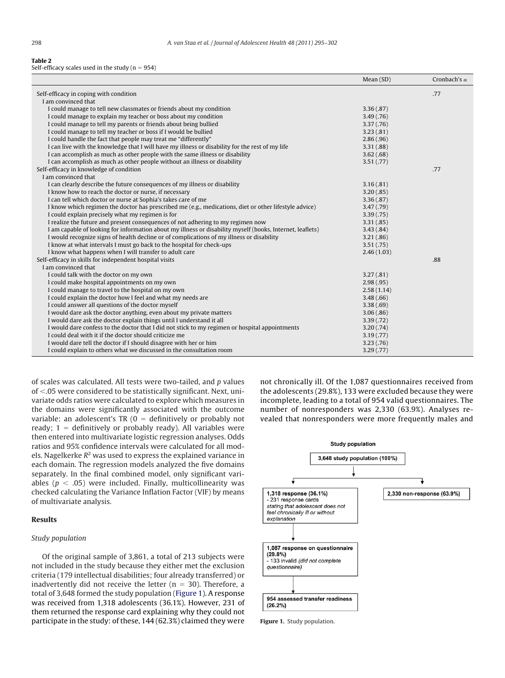<span id="page-3-0"></span>Self-efficacy scales used in the study  $(n = 954)$ 

|                                                                                                           | Mean (SD)  | Cronbach's $\alpha$ |
|-----------------------------------------------------------------------------------------------------------|------------|---------------------|
| Self-efficacy in coping with condition                                                                    |            | .77                 |
| I am convinced that                                                                                       |            |                     |
| I could manage to tell new classmates or friends about my condition                                       | 3.36(.87)  |                     |
| I could manage to explain my teacher or boss about my condition                                           | 3.49(.76)  |                     |
| I could manage to tell my parents or friends about being bullied                                          | 3.37(0.76) |                     |
| I could manage to tell my teacher or boss if I would be bullied                                           | 3.23(.81)  |                     |
| I could handle the fact that people may treat me "differently"                                            | 2.86(.96)  |                     |
| I can live with the knowledge that I will have my illness or disability for the rest of my life           | 3.31(.88)  |                     |
| I can accomplish as much as other people with the same illness or disability                              | 3.62(.68)  |                     |
| I can accomplish as much as other people without an illness or disability                                 | 3.51(.77)  |                     |
| Self-efficacy in knowledge of condition                                                                   |            | .77                 |
| I am convinced that                                                                                       |            |                     |
| I can clearly describe the future consequences of my illness or disability                                | 3.16(.81)  |                     |
| I know how to reach the doctor or nurse, if necessary                                                     | 3.20(.85)  |                     |
| I can tell which doctor or nurse at Sophia's takes care of me                                             | 3.36(.87)  |                     |
| I know which regimen the doctor has prescribed me (e.g., medications, diet or other lifestyle advice)     | 3.47(0.79) |                     |
| I could explain precisely what my regimen is for                                                          | 3.39(0.75) |                     |
| I realize the future and present consequences of not adhering to my regimen now                           | 3.31(.85)  |                     |
| I am capable of looking for information about my illness or disability myself (books, Internet, leaflets) | 3.43(.84)  |                     |
| I would recognize signs of health decline or of complications of my illness or disability                 | 3.21(.86)  |                     |
| I know at what intervals I must go back to the hospital for check-ups                                     | 3.51(.75)  |                     |
| I know what happens when I will transfer to adult care                                                    | 2.46(1.03) |                     |
| Self-efficacy in skills for independent hospital visits                                                   |            | .88                 |
| I am convinced that                                                                                       |            |                     |
| I could talk with the doctor on my own                                                                    | 3.27(.81)  |                     |
| I could make hospital appointments on my own                                                              | 2.98(.95)  |                     |
| I could manage to travel to the hospital on my own                                                        | 2.58(1.14) |                     |
| I could explain the doctor how I feel and what my needs are                                               | 3.48(.66)  |                     |
| I could answer all questions of the doctor myself                                                         | 3.38(.69)  |                     |
| I would dare ask the doctor anything, even about my private matters                                       | 3.06(.86)  |                     |
| I would dare ask the doctor explain things until I understand it all                                      | 3.39(0.72) |                     |
| I would dare confess to the doctor that I did not stick to my regimen or hospital appointments            | 3.20(.74)  |                     |
| I could deal with it if the doctor should criticize me                                                    | 3.19(0.77) |                     |
| I would dare tell the doctor if I should disagree with her or him                                         | 3.23(.76)  |                     |
| I could explain to others what we discussed in the consultation room                                      | 3.29(0.77) |                     |

of scales was calculated. All tests were two-tailed, and *p* values of  $<$ .05 were considered to be statistically significant. Next, univariate odds ratios were calculated to explore which measures in the domains were significantly associated with the outcome variable: an adolescent's TR ( $0 =$  definitively or probably not ready;  $1 =$  definitively or probably ready). All variables were then entered into multivariate logistic regression analyses. Odds ratios and 95% confidence intervals were calculated for all models. Nagelkerke  $R^2$  was used to express the explained variance in each domain. The regression models analyzed the five domains separately. In the final combined model, only significant variables ( $p < .05$ ) were included. Finally, multicollinearity was checked calculating the Variance Inflation Factor (VIF) by means of multivariate analysis.

# **Results**

# *Study population*

Of the original sample of 3,861, a total of 213 subjects were not included in the study because they either met the exclusion criteria (179 intellectual disabilities; four already transferred) or inadvertently did not receive the letter ( $n = 30$ ). Therefore, a total of 3,648 formed the study population (Figure 1). A response was received from 1,318 adolescents (36.1%). However, 231 of them returned the response card explaining why they could not participate in the study: of these, 144 (62.3%) claimed they were

not chronically ill. Of the 1,087 questionnaires received from the adolescents (29.8%), 133 were excluded because they were incomplete, leading to a total of 954 valid questionnaires. The number of nonresponders was 2,330 (63.9%). Analyses revealed that nonresponders were more frequently males and



**Figure 1.** Study population.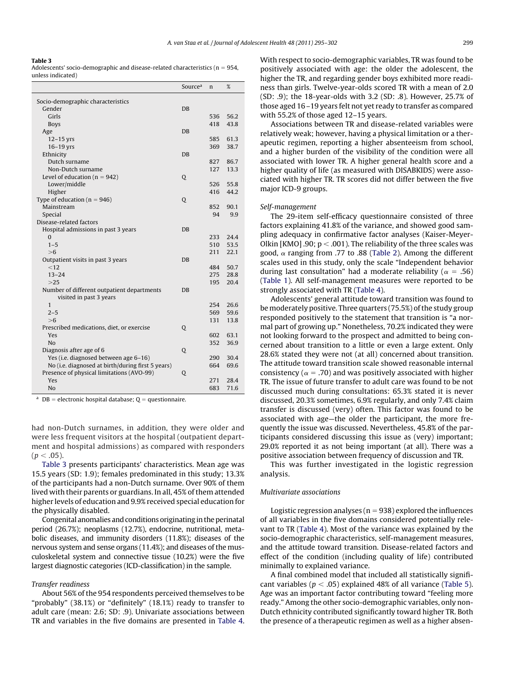Adolescents' socio-demographic and disease-related characteristics ( $n = 954$ , unless indicated)

|                                                                       | Source <sup>a</sup> | n          | %            |
|-----------------------------------------------------------------------|---------------------|------------|--------------|
| Socio-demographic characteristics                                     |                     |            |              |
| Gender                                                                | <b>DB</b>           |            |              |
| Girls                                                                 |                     | 536        | 56.2         |
| Boys                                                                  |                     | 418        | 43.8         |
| Age                                                                   | <b>DB</b>           |            |              |
| $12-15$ yrs                                                           |                     | 585        | 61.3         |
| $16-19$ yrs                                                           |                     | 369        | 38.7         |
| Ethnicity                                                             | <b>DB</b>           |            |              |
| Dutch surname                                                         |                     | 827        | 86.7         |
| Non-Dutch surname                                                     |                     | 127        | 13.3         |
| Level of education ( $n = 942$ )                                      | Q                   |            |              |
| Lower/middle                                                          |                     | 526        | 55.8         |
| Higher                                                                |                     | 416        | 44.2         |
| Type of education ( $n = 946$ )                                       | O                   |            |              |
| Mainstream                                                            |                     | 852        | 90.1         |
| Special                                                               |                     | 94         | 9.9          |
| Disease-related factors                                               |                     |            |              |
| Hospital admissions in past 3 years                                   | DB                  |            |              |
| 0                                                                     |                     | 233        | 24.4         |
| $1 - 5$                                                               |                     | 510        | 53.5         |
| >6                                                                    |                     | 211        | 22.1         |
| Outpatient visits in past 3 years                                     | <b>DB</b>           |            |              |
| < 12                                                                  |                     | 484        | 50.7         |
| $13 - 24$<br>>25                                                      |                     | 275<br>195 | 28.8<br>20.4 |
|                                                                       | <b>DB</b>           |            |              |
| Number of different outpatient departments<br>visited in past 3 years |                     |            |              |
| 1                                                                     |                     | 254        | 26.6         |
| $2 - 5$                                                               |                     | 569        | 59.6         |
| >6                                                                    |                     | 131        | 13.8         |
| Prescribed medications, diet, or exercise                             | 0                   |            |              |
| Yes                                                                   |                     | 602        | 63.1         |
| N <sub>0</sub>                                                        |                     | 352        | 36.9         |
| Diagnosis after age of 6                                              | $\mathbf{O}$        |            |              |
| Yes (i.e. diagnosed between age 6-16)                                 |                     | 290        | 30.4         |
| No (i.e. diagnosed at birth/during first 5 years)                     |                     | 664        | 69.6         |
| Presence of physical limitations (AVO-99)                             | 0                   |            |              |
| Yes                                                                   |                     | 271        | 28.4         |
| No                                                                    |                     | 683        | 71.6         |
|                                                                       |                     |            |              |

<sup>a</sup> DB = electronic hospital database;  $Q$  = questionnaire.

had non-Dutch surnames, in addition, they were older and were less frequent visitors at the hospital (outpatient department and hospital admissions) as compared with responders  $(p < .05)$ .

Table 3 presents participants' characteristics. Mean age was 15.5 years (SD: 1.9); females predominated in this study; 13.3% of the participants had a non-Dutch surname. Over 90% of them lived with their parents or guardians. In all, 45% of them attended higher levels of education and 9.9% received special education for the physically disabled.

Congenital anomalies and conditions originating in the perinatal period (26.7%); neoplasms (12.7%), endocrine, nutritional, metabolic diseases, and immunity disorders (11.8%); diseases of the nervous system and sense organs (11.4%); and diseases of the musculoskeletal system and connective tissue (10.2%) were the five largest diagnostic categories (ICD-classification) in the sample.

# *Transfer readiness*

About 56% of the 954 respondents perceived themselves to be "probably" (38.1%) or "definitely" (18.1%) ready to transfer to adult care (mean: 2.6; SD: .9). Univariate associations between TR and variables in the five domains are presented in [Table 4.](#page-5-0)

With respect to socio-demographic variables, TR was found to be positively associated with age: the older the adolescent, the higher the TR, and regarding gender boys exhibited more readiness than girls. Twelve-year-olds scored TR with a mean of 2.0 (SD: .9); the 18-year-olds with 3.2 (SD: .8). However, 25.7% of those aged 16 –19 years felt not yet ready to transfer as compared with 55.2% of those aged 12–15 years.

Associations between TR and disease-related variables were relatively weak; however, having a physical limitation or a therapeutic regimen, reporting a higher absenteeism from school, and a higher burden of the visibility of the condition were all associated with lower TR. A higher general health score and a higher quality of life (as measured with DISABKIDS) were associated with higher TR. TR scores did not differ between the five major ICD-9 groups.

#### *Self-management*

The 29-item self-efficacy questionnaire consisted of three factors explaining 41.8% of the variance, and showed good sampling adequacy in confirmative factor analyses (Kaiser-Meyer-Olkin [KMO] .90;  $p < .001$ ]. The reliability of the three scales was good,  $\alpha$  ranging from .77 to .88 [\(Table 2\)](#page-3-0). Among the different scales used in this study, only the scale "Independent behavior during last consultation" had a moderate reliability ( $\alpha = .56$ ) [\(Table 1\)](#page-2-0). All self-management measures were reported to be strongly associated with TR [\(Table 4\)](#page-5-0).

Adolescents' general attitude toward transition was found to be moderately positive. Three quarters (75.5%) of the study group responded positively to the statement that transition is "a normal part of growing up." Nonetheless, 70.2% indicated they were not looking forward to the prospect and admitted to being concerned about transition to a little or even a large extent. Only 28.6% stated they were not (at all) concerned about transition. The attitude toward transition scale showed reasonable internal consistency ( $\alpha$  = .70) and was positively associated with higher TR. The issue of future transfer to adult care was found to be not discussed much during consultations: 65.3% stated it is never discussed, 20.3% sometimes, 6.9% regularly, and only 7.4% claim transfer is discussed (very) often. This factor was found to be associated with age—the older the participant, the more frequently the issue was discussed. Nevertheless, 45.8% of the participants considered discussing this issue as (very) important; 29.0% reported it as not being important (at all). There was a positive association between frequency of discussion and TR.

This was further investigated in the logistic regression analysis.

# *Multivariate associations*

Logistic regression analyses ( $n = 938$ ) explored the influences of all variables in the five domains considered potentially relevant to TR [\(Table 4\)](#page-5-0). Most of the variance was explained by the socio-demographic characteristics, self-management measures, and the attitude toward transition. Disease-related factors and effect of the condition (including quality of life) contributed minimally to explained variance.

A final combined model that included all statistically significant variables ( $p < .05$ ) explained 48% of all variance [\(Table 5\)](#page-6-0). Age was an important factor contributing toward "feeling more ready." Among the other socio-demographic variables, only non-Dutch ethnicity contributed significantly toward higher TR. Both the presence of a therapeutic regimen as well as a higher absen-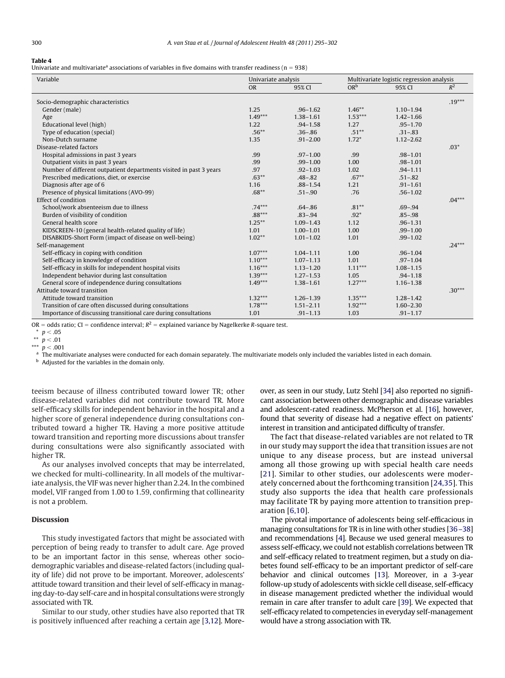<span id="page-5-0"></span>Univariate and multivariate<sup>a</sup> associations of variables in five domains with transfer readiness ( $n = 938$ )

| Variable                                                           | Univariate analysis |               | Multivariate logistic regression analysis |               |          |
|--------------------------------------------------------------------|---------------------|---------------|-------------------------------------------|---------------|----------|
|                                                                    | <b>OR</b>           | 95% CI        | $OR^b$                                    | 95% CI        | $R^2$    |
| Socio-demographic characteristics                                  |                     |               |                                           |               | $.19***$ |
| Gender (male)                                                      | 1.25                | $.96 - 1.62$  | $1.46***$                                 | $1.10 - 1.94$ |          |
| Age                                                                | $1.49***$           | $1.38 - 1.61$ | $1.53***$                                 | $1.42 - 1.66$ |          |
| Educational level (high)                                           | 1.22                | $.94 - 1.58$  | 1.27                                      | $.95 - 1.70$  |          |
| Type of education (special)                                        | $.56***$            | $.36 - .86$   | $.51**$                                   | $.31 - .83$   |          |
| Non-Dutch surname                                                  | 1.35                | $.91 - 2.00$  | $1.72*$                                   | $1.12 - 2.62$ |          |
| Disease-related factors                                            |                     |               |                                           |               | $.03*$   |
| Hospital admissions in past 3 years                                | .99                 | $.97 - 1.00$  | .99                                       | $.98 - 1.01$  |          |
| Outpatient visits in past 3 years                                  | .99                 | $.99 - 1.00$  | 1.00                                      | $.98 - 1.01$  |          |
| Number of different outpatient departments visited in past 3 years | .97                 | $.92 - 1.03$  | 1.02                                      | $.94 - 1.11$  |          |
| Prescribed medications, diet, or exercise                          | $.63***$            | $.48 - .82$   | $.67***$                                  | $.51 - .82$   |          |
| Diagnosis after age of 6                                           | 1.16                | $.88 - 1.54$  | 1.21                                      | $.91 - 1.61$  |          |
| Presence of physical limitations (AVO-99)                          | $.68***$            | $.51 - .90$   | .76                                       | $.56 - 1.02$  |          |
| Effect of condition                                                |                     |               |                                           |               | $.04***$ |
| School/work absenteeism due to illness                             | $.74***$            | $.64 - .86$   | $.81***$                                  | $.69 - .94$   |          |
| Burden of visibility of condition                                  | $.88***$            | $.83 - .94$   | $.92*$                                    | $.85 - .98$   |          |
| General health score                                               | $1.25***$           | $1.09 - 1.43$ | 1.12                                      | $.96 - 1.31$  |          |
| KIDSCREEN-10 (general health-related quality of life)              | 1.01                | $1.00 - 1.01$ | 1.00                                      | $.99 - 1.00$  |          |
| DISABKIDS-Short Form (impact of disease on well-being)             | $1.02**$            | $1.01 - 1.02$ | 1.01                                      | $.99 - 1.02$  |          |
| Self-management                                                    |                     |               |                                           |               | $.24***$ |
| Self-efficacy in coping with condition                             | $1.07***$           | $1.04 - 1.11$ | 1.00                                      | $.96 - 1.04$  |          |
| Self-efficacy in knowledge of condition                            | $1.10***$           | $1.07 - 1.13$ | 1.01                                      | $.97 - 1.04$  |          |
| Self-efficacy in skills for independent hospital visits            | $1.16***$           | $1.13 - 1.20$ | $1.11***$                                 | $1.08 - 1.15$ |          |
| Independent behavior during last consultation                      | $1.39***$           | $1.27 - 1.53$ | 1.05                                      | $.94 - 1.18$  |          |
| General score of independence during consultations                 | $1.49***$           | $1.38 - 1.61$ | $1.27***$                                 | $1.16 - 1.38$ |          |
| Attitude toward transition                                         |                     |               |                                           |               | $.30***$ |
| Attitude toward transition                                         | $1.32***$           | $1.26 - 1.39$ | $1.35***$                                 | $1.28 - 1.42$ |          |
| Transition of care often discussed during consultations            | $1.78***$           | $1.51 - 2.11$ | $1.92***$                                 | $1.60 - 2.30$ |          |
| Importance of discussing transitional care during consultations    | 1.01                | $.91 - 1.13$  | 1.03                                      | $.91 - 1.17$  |          |

OR = odds ratio; CI = confidence interval;  $R^2$  = explained variance by Nagelkerke *R*-square test.

 $p < .05$ 

 $p < .01$ 

\*\*\*  $p < .001$ 

<sup>a</sup> The multivariate analyses were conducted for each domain separately. The multivariate models only included the variables listed in each domain.

**b** Adjusted for the variables in the domain only.

teeism because of illness contributed toward lower TR; other disease-related variables did not contribute toward TR. More self-efficacy skills for independent behavior in the hospital and a higher score of general independence during consultations contributed toward a higher TR. Having a more positive attitude toward transition and reporting more discussions about transfer during consultations were also significantly associated with higher TR.

As our analyses involved concepts that may be interrelated, we checked for multi-collinearity. In all models of the multivariate analysis, the VIF was never higher than 2.24. In the combined model, VIF ranged from 1.00 to 1.59, confirming that collinearity is not a problem.

## **Discussion**

This study investigated factors that might be associated with perception of being ready to transfer to adult care. Age proved to be an important factor in this sense, whereas other sociodemographic variables and disease-related factors (including quality of life) did not prove to be important. Moreover, adolescents' attitude toward transition and their level of self-efficacy in managing day-to-day self-care and in hospital consultations were strongly associated with TR.

Similar to our study, other studies have also reported that TR is positively influenced after reaching a certain age [\[3,12\]](#page-7-0). Moreover, as seen in our study, Lutz Stehl [\[34\]](#page-7-0) also reported no significant association between other demographic and disease variables and adolescent-rated readiness. McPherson et al. [\[16\]](#page-7-0), however, found that severity of disease had a negative effect on patients' interest in transition and anticipated difficulty of transfer.

The fact that disease-related variables are not related to TR in our study may support the idea that transition issues are not unique to any disease process, but are instead universal among all those growing up with special health care needs [\[21\]](#page-7-0). Similar to other studies, our adolescents were moderately concerned about the forthcoming transition [\[24,35\]](#page-7-0). This study also supports the idea that health care professionals may facilitate TR by paying more attention to transition preparation [\[6,10\]](#page-7-0).

The pivotal importance of adolescents being self-efficacious in managing consultations for TR is in line with other studies [\[36–38\]](#page-7-0) and recommendations [\[4\]](#page-7-0). Because we used general measures to assess self-efficacy, we could not establish correlations between TR and self-efficacy related to treatment regimen, but a study on diabetes found self-efficacy to be an important predictor of self-care behavior and clinical outcomes [\[13\]](#page-7-0). Moreover, in a 3-year follow-up study of adolescents with sickle cell disease, self-efficacy in disease management predicted whether the individual would remain in care after transfer to adult care [\[39\]](#page-7-0). We expected that self-efficacy related to competencies in everyday self-management would have a strong association with TR.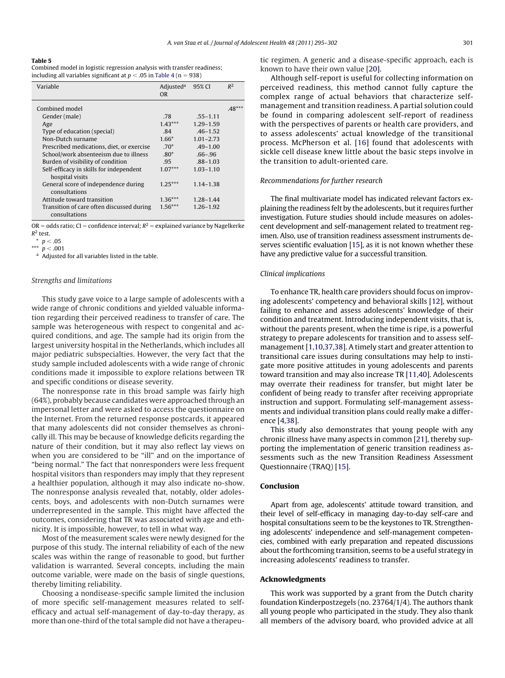<span id="page-6-0"></span>Combined model in logistic regression analysis with transfer readiness; including all variables significant at  $p < .05$  in [Table 4](#page-5-0) (n = 938)

| Variable                                                   | Adjusted <sup>a</sup><br>0 <sub>R</sub> | 95% CI        | $R^2$    |
|------------------------------------------------------------|-----------------------------------------|---------------|----------|
| Combined model                                             |                                         |               | $.48***$ |
| Gender (male)                                              | .78                                     | $.55 - 1.11$  |          |
| Age                                                        | $1.43***$                               | 1.29-1.59     |          |
| Type of education (special)                                | .84                                     | $.46 - 1.52$  |          |
| Non-Dutch surname                                          | $1.66*$                                 | $1.01 - 2.73$ |          |
| Prescribed medications, diet, or exercise                  | $.70*$                                  | $.49 - 1.00$  |          |
| School/work absenteeism due to illness                     | $.80*$                                  | $.66 - .96$   |          |
| Burden of visibility of condition                          | .95                                     | $.88 - 1.03$  |          |
| Self-efficacy in skills for independent<br>hospital visits | $1.07***$                               | $1.03 - 1.10$ |          |
| General score of independence during<br>consultations      | $1.25***$                               | $1.14 - 1.38$ |          |
| Attitude toward transition                                 | $1.36***$                               | $1.28 - 1.44$ |          |
| Transition of care often discussed during<br>consultations | $1.56***$                               | 1.26-1.92     |          |

 $OR = odds ratio$ ;  $CI = confidence interval$ ;  $R^2 = explained$  variance by Nagelkerke *R*<sup>2</sup> test.

 $*$   $p < .05$ 

\*\*\*  $p < .001$ 

<sup>a</sup> Adjusted for all variables listed in the table.

# *Strengths and limitations*

This study gave voice to a large sample of adolescents with a wide range of chronic conditions and yielded valuable information regarding their perceived readiness to transfer of care. The sample was heterogeneous with respect to congenital and acquired conditions, and age. The sample had its origin from the largest university hospital in the Netherlands, which includes all major pediatric subspecialties. However, the very fact that the study sample included adolescents with a wide range of chronic conditions made it impossible to explore relations between TR and specific conditions or disease severity.

The nonresponse rate in this broad sample was fairly high (64%), probably because candidates were approached through an impersonal letter and were asked to access the questionnaire on the Internet. From the returned response postcards, it appeared that many adolescents did not consider themselves as chronically ill. This may be because of knowledge deficits regarding the nature of their condition, but it may also reflect lay views on when you are considered to be "ill" and on the importance of "being normal." The fact that nonresponders were less frequent hospital visitors than responders may imply that they represent a healthier population, although it may also indicate no-show. The nonresponse analysis revealed that, notably, older adolescents, boys, and adolescents with non-Dutch surnames were underrepresented in the sample. This might have affected the outcomes, considering that TR was associated with age and ethnicity. It is impossible, however, to tell in what way.

Most of the measurement scales were newly designed for the purpose of this study. The internal reliability of each of the new scales was within the range of reasonable to good, but further validation is warranted. Several concepts, including the main outcome variable, were made on the basis of single questions, thereby limiting reliability.

Choosing a nondisease-specific sample limited the inclusion of more specific self-management measures related to selfefficacy and actual self-management of day-to-day therapy, as more than one-third of the total sample did not have a therapeutic regimen. A generic and a disease-specific approach, each is known to have their own value [\[20\]](#page-7-0).

Although self-report is useful for collecting information on perceived readiness, this method cannot fully capture the complex range of actual behaviors that characterize selfmanagement and transition readiness. A partial solution could be found in comparing adolescent self-report of readiness with the perspectives of parents or health care providers, and to assess adolescents' actual knowledge of the transitional process. McPherson et al. [\[16\]](#page-7-0) found that adolescents with sickle cell disease knew little about the basic steps involve in the transition to adult-oriented care.

## *Recommendations for further research*

The final multivariate model has indicated relevant factors explaining the readiness felt by the adolescents, but it requires further investigation. Future studies should include measures on adolescent development and self-management related to treatment regimen. Also, use of transition readiness assessment instruments deserves scientific evaluation [\[15\]](#page-7-0), as it is not known whether these have any predictive value for a successful transition.

# *Clinical implications*

To enhance TR, health care providers should focus on improving adolescents' competency and behavioral skills [\[12\]](#page-7-0), without failing to enhance and assess adolescents' knowledge of their condition and treatment. Introducing independent visits, that is, without the parents present, when the time is ripe, is a powerful strategy to prepare adolescents for transition and to assess selfmanagement [\[1,10,37,38\]](#page-7-0). A timely start and greater attention to transitional care issues during consultations may help to instigate more positive attitudes in young adolescents and parents toward transition and may also increase TR [\[11,40\]](#page-7-0). Adolescents may overrate their readiness for transfer, but might later be confident of being ready to transfer after receiving appropriate instruction and support. Formulating self-management assessments and individual transition plans could really make a difference [\[4,38\]](#page-7-0).

This study also demonstrates that young people with any chronic illness have many aspects in common [\[21\]](#page-7-0), thereby supporting the implementation of generic transition readiness assessments such as the new Transition Readiness Assessment Questionnaire (TRAQ) [\[15\]](#page-7-0).

# **Conclusion**

Apart from age, adolescents' attitude toward transition, and their level of self-efficacy in managing day-to-day self-care and hospital consultations seem to be the keystones to TR. Strengthening adolescents' independence and self-management competencies, combined with early preparation and repeated discussions about the forthcoming transition, seems to be a useful strategy in increasing adolescents' readiness to transfer.

#### **Acknowledgments**

This work was supported by a grant from the Dutch charity foundation Kinderpostzegels (no. 23764/1/4). The authors thank all young people who participated in the study. They also thank all members of the advisory board, who provided advice at all